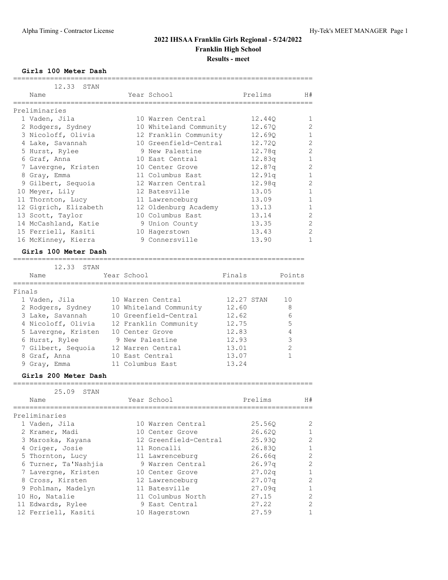**Girls 100 Meter Dash**

|        | 12.33<br>STAN                                   |                 |                        |            |          |                |                |
|--------|-------------------------------------------------|-----------------|------------------------|------------|----------|----------------|----------------|
|        | Name                                            |                 | Year School            |            | Prelims  |                | H#             |
|        | ===============<br>Preliminaries                | ===========     |                        |            |          |                |                |
|        | 1 Vaden, Jila                                   |                 | 10 Warren Central      |            | 12.440   |                | 1              |
|        | 2 Rodgers, Sydney                               |                 | 10 Whiteland Community |            | 12.67Q   |                | $\overline{c}$ |
|        | 3 Nicoloff, Olivia                              |                 | 12 Franklin Community  |            | 12.690   |                | 1              |
|        | 4 Lake, Savannah                                |                 | 10 Greenfield-Central  |            | 12.720   |                | 2              |
|        | 5 Hurst, Rylee                                  |                 | 9 New Palestine        |            | 12.78q   |                | $\overline{c}$ |
|        | 6 Graf, Anna                                    |                 | 10 East Central        |            | 12.83q   |                | $\mathbf{1}$   |
|        | 7 Lavergne, Kristen                             |                 | 10 Center Grove        |            | 12.87q   |                | $\overline{c}$ |
|        | 8 Gray, Emma                                    |                 | 11 Columbus East       |            | 12.91q   |                | $\mathbf{1}$   |
|        | 9 Gilbert, Sequoia                              |                 | 12 Warren Central      |            | 12.98q   |                | $\overline{2}$ |
|        | 10 Meyer, Lily                                  |                 | 12 Batesville          |            | 13.05    |                | $\mathbf{1}$   |
|        | 11 Thornton, Lucy                               |                 | 11 Lawrenceburg        |            | 13.09    |                | $\mathbf{1}$   |
|        | 12 Gigrich, Elizabeth                           |                 | 12 Oldenburg Academy   |            | 13.13    |                | $\mathbf{1}$   |
|        | 13 Scott, Taylor                                |                 | 10 Columbus East       |            | 13.14    |                | $\overline{c}$ |
|        | 14 McCashland, Katie                            |                 | 9 Union County         |            | 13.35    |                | $\overline{2}$ |
|        | 15 Ferriell, Kasiti                             |                 | 10 Hagerstown          |            | 13.43    |                | $\overline{c}$ |
|        | 16 McKinney, Kierra                             |                 | 9 Connersville         |            | 13.90    |                | $\mathbf{1}$   |
|        | Girls 100 Meter Dash<br>_______________________ |                 |                        |            |          |                |                |
|        | 12.33<br>STAN                                   |                 |                        |            |          |                |                |
|        | Name                                            | Year School     |                        | Finals     |          | Points         |                |
| Finals | =========                                       |                 |                        |            |          |                |                |
|        | 1 Vaden, Jila                                   |                 | 10 Warren Central      | 12.27 STAN |          | 10             |                |
|        | 2 Rodgers, Sydney                               |                 | 10 Whiteland Community | 12.60      |          | 8              |                |
|        | 3 Lake, Savannah                                |                 | 10 Greenfield-Central  | 12.62      |          | 6              |                |
|        | 4 Nicoloff, Olivia                              |                 | 12 Franklin Community  | 12.75      |          | 5              |                |
|        | 5 Lavergne, Kristen                             | 10 Center Grove |                        | 12.83      |          | 4              |                |
|        | 6 Hurst, Rylee                                  |                 | 9 New Palestine        | 12.93      |          | $\mathsf 3$    |                |
|        | 7 Gilbert, Sequoia                              |                 | 12 Warren Central      | 13.01      |          | $\overline{c}$ |                |
|        | 8 Graf, Anna                                    | 10 East Central |                        | 13.07      |          | 1              |                |
|        | 9 Gray, Emma                                    |                 | 11 Columbus East       | 13.24      |          |                |                |
|        | Girls 200 Meter Dash<br>======================= |                 |                        |            |          |                |                |
|        | 25.09<br>STAN                                   |                 |                        |            |          |                |                |
|        | $N \supset m \supset$                           |                 | Voar School            |            | Drallime |                | ㅂ #            |

| Name                 | Year School           | Prelims            | H#           |
|----------------------|-----------------------|--------------------|--------------|
| Preliminaries        |                       |                    |              |
| 1 Vaden, Jila        | 10 Warren Central     | 25.560             | 2            |
| 2 Kramer, Madi       | 10 Center Grove       | 26.620             | $\mathbf{1}$ |
| 3 Maroska, Kayana    | 12 Greenfield-Central | 25.930             | 2            |
| 4 Origer, Josie      | 11 Roncalli           | 26.830             | $\mathbf{1}$ |
| 5 Thornton, Lucy     | 11 Lawrenceburg       | 26.66q             | 2            |
| 6 Turner, Ta'Nashjia | 9 Warren Central      | 26.97q             | 2            |
| 7 Lavergne, Kristen  | 10 Center Grove       | 27.02 <sub>q</sub> | $\mathbf{1}$ |
| 8 Cross, Kirsten     | 12 Lawrenceburg       | 27.07q             | 2            |
| 9 Pohlman, Madelyn   | 11 Batesville         | 27.09q             | $\mathbf{1}$ |
| 10 Ho, Natalie       | 11 Columbus North     | 27.15              | 2            |
| 11 Edwards, Rylee    | 9 East Central        | 27.22              | 2            |
| 12 Ferriell, Kasiti  | 10 Hagerstown         | 27.59              |              |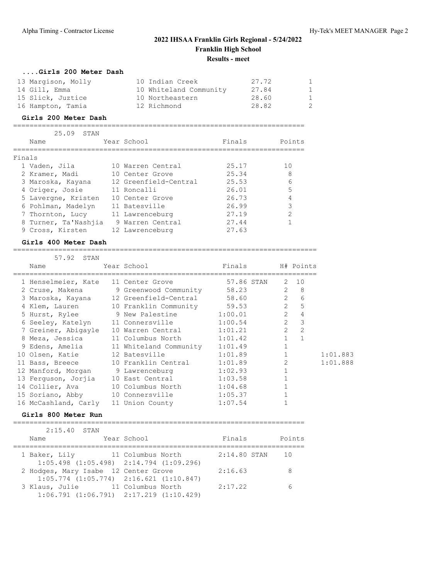| Girls 200 Meter Dash |                        |       |                |
|----------------------|------------------------|-------|----------------|
| 13 Margison, Molly   | 10 Indian Creek        | 27.72 | $\mathbf{1}$   |
| 14 Gill, Emma        | 10 Whiteland Community | 27.84 | $\overline{1}$ |
| 15 Slick, Juztice    | 10 Northeastern        | 28.60 | $\mathbf{1}$   |
| 16 Hampton, Tamia    | 12 Richmond            | 28.82 | 2              |

#### **Girls 200 Meter Dash**

=======================================================================

|        | 25.09<br>STAN        |                       |        |        |
|--------|----------------------|-----------------------|--------|--------|
|        | Name                 | Year School           | Finals | Points |
| Finals |                      |                       |        |        |
|        | 1 Vaden, Jila        | 10 Warren Central     | 25.17  | 1 O    |
|        | 2 Kramer, Madi       | 10 Center Grove       | 25.34  | 8      |
|        | 3 Maroska, Kayana    | 12 Greenfield-Central | 25.53  | 6      |
|        | 4 Origer, Josie      | 11 Roncalli           | 26.01  | 5      |
|        | 5 Lavergne, Kristen  | 10 Center Grove       | 26.73  | 4      |
|        | 6 Pohlman, Madelyn   | 11 Batesville         | 26.99  | 3      |
|        | 7 Thornton, Lucy     | 11 Lawrenceburg       | 27.19  | 2      |
|        | 8 Turner, Ta'Nashiia | 9 Warren Central      | 27.44  |        |
|        | 9 Cross, Kirsten     | 12 Lawrenceburg       | 27.63  |        |

#### **Girls 400 Meter Dash**

==========================================================================

| 57.92 STAN                           |                                               |                     |                |                  |          |
|--------------------------------------|-----------------------------------------------|---------------------|----------------|------------------|----------|
| Name                                 | Year School                                   | Finals              |                | H# Points        |          |
| 1 Henselmeier, Kate 11 Center Grove  |                                               | 57.86 STAN          |                | 2 10             |          |
|                                      | 2 Cruse, Makena 9 Greenwood Community 58.23   |                     |                | $2^8$            |          |
|                                      | 3 Maroska, Kayana 12 Greenfield-Central 58.60 |                     |                | $2^{\circ}$<br>6 |          |
|                                      | 4 Klem, Lauren 10 Franklin Community 59.53    |                     |                | $2^{\circ}$<br>5 |          |
|                                      | 5 Hurst, Rylee 9 New Palestine 1:00.01        |                     | $\overline{2}$ | 4                |          |
|                                      | 6 Seeley, Katelyn 11 Connersville 1:00.54     |                     | 2              | 3                |          |
|                                      | 7 Greiner, Abigayle 10 Warren Central 1:01.21 |                     | $\overline{2}$ | $\overline{2}$   |          |
|                                      | 8 Meza, Jessica 11 Columbus North 1:01.42     |                     | $\mathbf{1}$   | $\mathbf{1}$     |          |
|                                      | 9 Edens, Amelia 11 Whiteland Community        | 1:01.49             | $\mathbf{1}$   |                  |          |
| 10 Olsen, Katie 12 Batesville        |                                               | $\sim$ 1<br>1:01.89 |                |                  | 1:01.883 |
|                                      | 11 Bass, Breece 10 Franklin Central 1:01.89   |                     | $\overline{2}$ |                  | 1:01.888 |
|                                      | 12 Manford, Morgan 9 Lawrenceburg 1:02.93     |                     | $\mathbf{1}$   |                  |          |
|                                      | 13 Ferquson, Jorjia 10 East Central 1:03.58   |                     |                |                  |          |
|                                      | 14 Collier, Ava 10 Columbus North 1:04.68     |                     | $\mathbf 1$    |                  |          |
| 15 Soriano, Abby 10 Connersville     |                                               | 1:05.37             |                |                  |          |
| 16 McCashland, Carly 11 Union County |                                               | 1:07.54             |                |                  |          |

#### **Girls 800 Meter Run**

| $2:15.40$ STAN                                                                                            |                   |             |                |                 |
|-----------------------------------------------------------------------------------------------------------|-------------------|-------------|----------------|-----------------|
| Name                                                                                                      |                   | Year School | Finals         | Points          |
| 1 Baker, Lily 11 Columbus North                                                                           |                   |             | $2:14.80$ STAN | $\overline{10}$ |
| $1:05.498$ $(1:05.498)$ $2:14.794$ $(1:09.296)$                                                           |                   |             |                |                 |
|                                                                                                           |                   |             | 2:16.63        |                 |
|                                                                                                           |                   |             |                |                 |
| $1:06.791$ $(1:06.791)$ $2:17.219$ $(1:10.429)$                                                           |                   |             |                |                 |
| 2 Hodges, Mary Isabe 12 Center Grove<br>$1:05.774$ $(1:05.774)$ $2:16.621$ $(1:10.847)$<br>3 Klaus, Julie | 11 Columbus North |             | 2:17.22        |                 |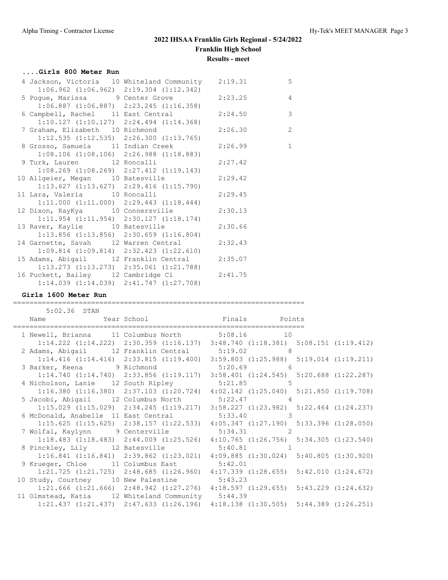### **....Girls 800 Meter Run**

| 4 Jackson, Victoria 10 Whiteland Community 2:19.31                                              |                                                 |         | 5              |
|-------------------------------------------------------------------------------------------------|-------------------------------------------------|---------|----------------|
| 5 Pogue, Marissa 9 Center Grove 2:23.25                                                         | $1:06.962$ $(1:06.962)$ $2:19.304$ $(1:12.342)$ |         | $\overline{4}$ |
|                                                                                                 | $1:06.887$ $(1:06.887)$ $2:23.245$ $(1:16.358)$ |         |                |
| 6 Campbell, Rachel 11 East Central 2:24.50                                                      |                                                 |         | $\overline{3}$ |
| $1:10.127$ $(1:10.127)$ $2:24.494$ $(1:14.368)$<br>7 Graham, Elizabeth 10 Richmond 2:26.30      |                                                 |         | $\overline{c}$ |
|                                                                                                 | $1:12.535$ $(1:12.535)$ $2:26.300$ $(1:13.765)$ |         |                |
| 8 Grosso, Samuela 11 Indian Creek 2:26.99                                                       |                                                 |         | $\mathbf{1}$   |
|                                                                                                 | $1:08.106$ $(1:08.106)$ $2:26.988$ $(1:18.883)$ |         |                |
| 9 Turk, Lauren 12 Roncalli                                                                      |                                                 | 2:27.42 |                |
|                                                                                                 | $1:08.269$ $(1:08.269)$ $2:27.412$ $(1:19.143)$ |         |                |
| 10 Allgeier, Megan 10 Batesville<br>$1:13.627$ (1:13.627) 2:29.416 (1:15.790)                   |                                                 | 2:29.42 |                |
| 11 Lara, Valeria 10 Roncalli                                                                    |                                                 | 2:29.45 |                |
|                                                                                                 | $1:11.000$ $(1:11.000)$ $2:29.443$ $(1:18.444)$ |         |                |
| 12 Dixon, RayKya 10 Connersville 2:30.13                                                        |                                                 |         |                |
| $1:11.954$ $(1:11.954)$ $2:30.127$ $(1:18.174)$                                                 |                                                 |         |                |
| 13 Raver, Kaylie 10 Batesville                                                                  |                                                 | 2:30.66 |                |
| $1:13.856$ $(1:13.856)$ $2:30.659$ $(1:16.804)$<br>14 Garnette, Savah 12 Warren Central 2:32.43 |                                                 |         |                |
|                                                                                                 | $1:09.814$ $(1:09.814)$ $2:32.423$ $(1:22.610)$ |         |                |
| 15 Adams, Abigail 12 Franklin Central 2:35.07                                                   |                                                 |         |                |
| $1:13.273$ $(1:13.273)$ $2:35.061$ $(1:21.788)$                                                 |                                                 |         |                |
| 16 Puckett, Bailey 12 Cambridge Ci 2:41.75                                                      |                                                 |         |                |
| $1:14.039$ $(1:14.039)$ $2:41.747$ $(1:27.708)$                                                 |                                                 |         |                |

#### **Girls 1600 Meter Run**

### 5:02.36 STAN Name Year School Finals Points ======================================================================= 1 Newell, Brianna 11 Columbus North 5:08.16 10 1:14.222 (1:14.222) 2:30.359 (1:16.137) 3:48.740 (1:18.381) 5:08.151 (1:19.412) 2 Adams, Abigail 12 Franklin Central 5:19.02 8 1:14.416 (1:14.416) 2:33.815 (1:19.400) 3:59.803 (1:25.988) 5:19.014 (1:19.211)

=======================================================================

|                                                                                         | T.T.1.10 (I.I.1.10) 2.99.0IJ (I.I9.400) | U.J.J.OUJ (I.ZJ.JOO) U.IJ.UIH (I.IJ.ZII)                                                        |  |
|-----------------------------------------------------------------------------------------|-----------------------------------------|-------------------------------------------------------------------------------------------------|--|
| 3 Barker, Keena 9 Richmond 5:20.69 6                                                    |                                         |                                                                                                 |  |
|                                                                                         |                                         | $1:14.740$ $(1:14.740)$ $2:33.856$ $(1:19.117)$ $3:58.401$ $(1:24.545)$ $5:20.688$ $(1:22.287)$ |  |
| 4 Nicholson, Lanie 12 South Ripley                                                      |                                         | $5:21.85$ 5                                                                                     |  |
|                                                                                         |                                         | $1:16.380$ $(1:16.380)$ $2:37.103$ $(1:20.724)$ $4:02.142$ $(1:25.040)$ $5:21.850$ $(1:19.708)$ |  |
| 5 Jacobi, Abigail 12 Columbus North                                                     |                                         | 5:22.47<br>$\overline{4}$                                                                       |  |
|                                                                                         |                                         | $1:15.029$ $(1:15.029)$ $2:34.245$ $(1:19.217)$ $3:58.227$ $(1:23.982)$ $5:22.464$ $(1:24.237)$ |  |
| 6 McDonald, Anabelle 11 East Central                                                    |                                         | 5:33.40                                                                                         |  |
|                                                                                         |                                         | $1:15.625$ $(1:15.625)$ $2:38.157$ $(1:22.533)$ $4:05.347$ $(1:27.190)$ $5:33.396$ $(1:28.050)$ |  |
| 7 Wolfal, Kaylynn 9 Centerville                                                         |                                         | 5:34.31<br>$\mathcal{L}$                                                                        |  |
|                                                                                         |                                         | $1:18.483$ $(1:18.483)$ $2:44.009$ $(1:25.526)$ $4:10.765$ $(1:26.756)$ $5:34.305$ $(1:23.540)$ |  |
| 8 Pinckley, Lily 12 Batesville 5:40.81                                                  |                                         |                                                                                                 |  |
|                                                                                         |                                         | $1:16.841$ $(1:16.841)$ $2:39.862$ $(1:23.021)$ $4:09.885$ $(1:30.024)$ $5:40.805$ $(1:30.920)$ |  |
| 9 Krueger, Chloe 11 Columbus East 5:42.01                                               |                                         |                                                                                                 |  |
|                                                                                         |                                         | $1:21.725$ $(1:21.725)$ $2:48.685$ $(1:26.960)$ $4:17.339$ $(1:28.655)$ $5:42.010$ $(1:24.672)$ |  |
| 10 Study, Courtney 10 New Palestine 5:43.23                                             |                                         |                                                                                                 |  |
| $1:21.666$ (1:21.666) $2:48.942$ (1:27.276) $4:18.597$ (1:29.655) $5:43.229$ (1:24.632) |                                         |                                                                                                 |  |
| 11 Olmstead, Katia 12 Whiteland Community 5:44.39                                       |                                         |                                                                                                 |  |
|                                                                                         |                                         | $1:21.437$ $(1:21.437)$ $2:47.633$ $(1:26.196)$ $4:18.138$ $(1:30.505)$ $5:44.389$ $(1:26.251)$ |  |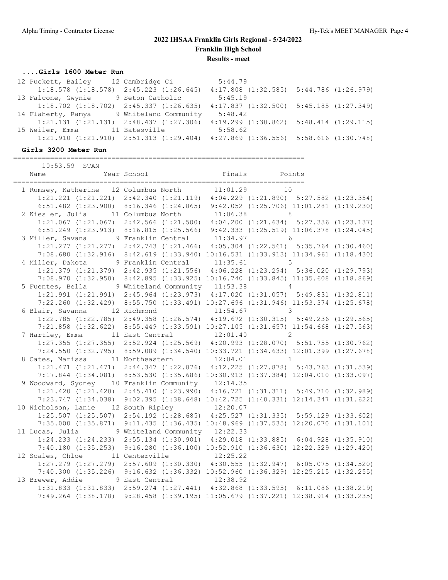## **....Girls 1600 Meter Run**

| 12 Puckett, Bailey 12 Cambridge Ci              |                       | 5:44.79                                         |  |
|-------------------------------------------------|-----------------------|-------------------------------------------------|--|
| $1:18.578$ $(1:18.578)$ $2:45.223$ $(1:26.645)$ |                       | $4:17.808$ $(1:32.585)$ $5:44.786$ $(1:26.979)$ |  |
| 13 Falcone, Gwynie                              | 9 Seton Catholic      | 5:45.19                                         |  |
| $1:18.702$ $(1:18.702)$ $2:45.337$ $(1:26.635)$ |                       | $4:17.837$ $(1:32.500)$ $5:45.185$ $(1:27.349)$ |  |
| 14 Flaherty, Ramya                              | 9 Whiteland Community | 5:48.42                                         |  |
| $1:21.131$ $(1:21.131)$ $2:48.437$ $(1:27.306)$ |                       | $4:19.299$ $(1:30.862)$ $5:48.414$ $(1:29.115)$ |  |
| 15 Weiler, Emma                                 | 11 Batesville         | 5:58.62                                         |  |
| $1:21.910$ $(1:21.910)$ $2:51.313$ $(1:29.404)$ |                       | $4:27.869$ $(1:36.556)$ $5:58.616$ $(1:30.748)$ |  |

=======================================================================

## **Girls 3200 Meter Run**

| 10:53.59 STAN                                                                                                                        |  |              |  |
|--------------------------------------------------------------------------------------------------------------------------------------|--|--------------|--|
|                                                                                                                                      |  |              |  |
| 1 Rumsey, Katherine 12 Columbus North 11:01.29 10<br>1:21.221 (1:21.221) 2:42.340 (1:21.119) 4:04.229 (1:21.890) 5:27.582 (1:23.354) |  |              |  |
|                                                                                                                                      |  |              |  |
| 6:51.482 (1:23.900) 8:16.346 (1:24.865) 9:42.052 (1:25.706) 11:01.281 (1:19.230)                                                     |  |              |  |
| 2 Kiesler, Julia 11 Columbus North                                                                                                   |  | $11:06.38$ 8 |  |
| 1:21.067 (1:21.067) 2:42.566 (1:21.500) 4:04.200 (1:21.634) 5:27.336 (1:23.137)                                                      |  |              |  |
| 6:51.249 (1:23.913) 8:16.815 (1:25.566) 9:42.333 (1:25.519) 11:06.378 (1:24.045)                                                     |  |              |  |
| 3 Miller, Savana 9 Franklin Central 11:34.97 6                                                                                       |  |              |  |
| 1:21.277 (1:21.277) 2:42.743 (1:21.466) 4:05.304 (1:22.561) 5:35.764 (1:30.460)                                                      |  |              |  |
| 7:08.680 (1:32.916) 8:42.619 (1:33.940) 10:16.531 (1:33.913) 11:34.961 (1:18.430)                                                    |  |              |  |
| 4 Miller, Dakota 9 Franklin Central 11:35.61 5                                                                                       |  |              |  |
| 1:21.379 (1:21.379) 2:42.935 (1:21.556) 4:06.228 (1:23.294) 5:36.020 (1:29.793)                                                      |  |              |  |
| 7:08.970 (1:32.950) 8:42.895 (1:33.925) 10:16.740 (1:33.845) 11:35.608 (1:18.869)                                                    |  |              |  |
| 5 Fuentes, Bella 9 Whiteland Community 11:53.38 4                                                                                    |  |              |  |
| 1:21.991 (1:21.991) 2:45.964 (1:23.973) 4:17.020 (1:31.057) 5:49.831 (1:32.811)                                                      |  |              |  |
| 7:22.260 (1:32.429) 8:55.750 (1:33.491) 10:27.696 (1:31.946) 11:53.374 (1:25.678)                                                    |  |              |  |
| 6 Blair, Savanna 12 Richmond 11:54.67 3                                                                                              |  |              |  |
| 1:22.785 (1:22.785) 2:49.358 (1:26.574) 4:19.672 (1:30.315) 5:49.236 (1:29.565)                                                      |  |              |  |
| 7:21.858 (1:32.622) 8:55.449 (1:33.591) 10:27.105 (1:31.657) 11:54.668 (1:27.563)                                                    |  |              |  |
| 7 Hartley, Emma 11 East Central 12:01.40 2                                                                                           |  |              |  |
| 1:27.355 (1:27.355) 2:52.924 (1:25.569) 4:20.993 (1:28.070) 5:51.755 (1:30.762)                                                      |  |              |  |
| 7:24.550 (1:32.795) 8:59.089 (1:34.540) 10:33.721 (1:34.633) 12:01.399 (1:27.678)                                                    |  |              |  |
| 8 Cates, Marissa 11 Northeastern 12:04.01 1                                                                                          |  |              |  |
| 1:21.471 (1:21.471) 2:44.347 (1:22.876) 4:12.225 (1:27.878) 5:43.763 (1:31.539)                                                      |  |              |  |
| 7:17.844 (1:34.081) 8:53.530 (1:35.686) 10:30.913 (1:37.384) 12:04.010 (1:33.097)                                                    |  |              |  |
| 9 Woodward, Sydney 10 Franklin Community 12:14.35                                                                                    |  |              |  |
| 1:21.420 (1:21.420) 2:45.410 (1:23.990) 4:16.721 (1:31.311) 5:49.710 (1:32.989)                                                      |  |              |  |
| 7:23.747 (1:34.038) 9:02.395 (1:38.648) 10:42.725 (1:40.331) 12:14.347 (1:31.622)                                                    |  |              |  |
| 10 Nicholson, Lanie 12 South Ripley 12:20.07                                                                                         |  |              |  |
| 1:25.507 (1:25.507) 2:54.192 (1:28.685) 4:25.527 (1:31.335) 5:59.129 (1:33.602)                                                      |  |              |  |
| 7:35.000 (1:35.871) 9:11.435 (1:36.435) 10:48.969 (1:37.535) 12:20.070 (1:31.101)                                                    |  |              |  |
| 11 Lucas, Julia 9 Whiteland Community 12:22.33                                                                                       |  |              |  |
| 1:24.233 (1:24.233) 2:55.134 (1:30.901) 4:29.018 (1:33.885) 6:04.928 (1:35.910)                                                      |  |              |  |
| 7:40.180 (1:35.253) 9:16.280 (1:36.100) 10:52.910 (1:36.630) 12:22.329 (1:29.420)                                                    |  |              |  |
| 12 Scales, Chloe 11 Centerville 12:25.22<br>1:27.279 (1:27.279) 2:57.609 (1:30.330) 4:30.555 (1:32.947) 6:05.075 (1:34.520)          |  |              |  |
|                                                                                                                                      |  |              |  |
| 7:40.300 (1:35.226) 9:16.632 (1:36.332) 10:52.960 (1:36.329) 12:25.215 (1:32.255)                                                    |  |              |  |
| 13 Brewer, Addie 9 East Central 12:38.92                                                                                             |  |              |  |
| 1:31.833 (1:31.833) 2:59.274 (1:27.441) 4:32.868 (1:33.595) 6:11.086 (1:38.219)                                                      |  |              |  |
| 7:49.264 (1:38.178) 9:28.458 (1:39.195) 11:05.679 (1:37.221) 12:38.914 (1:33.235)                                                    |  |              |  |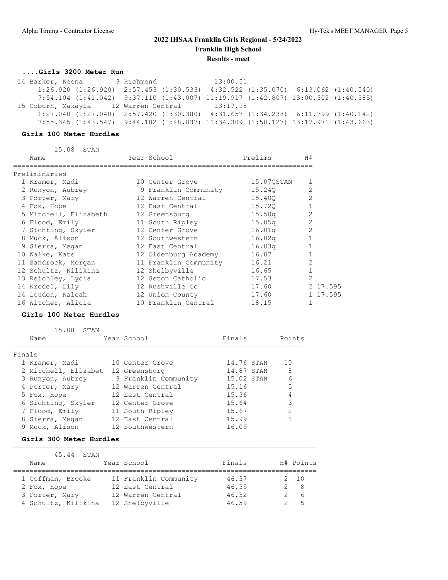### **....Girls 3200 Meter Run**

| 14 Barker, Keena                                                                                  | 9 Richmond Sandwick | 13:00.51 |  |  |
|---------------------------------------------------------------------------------------------------|---------------------|----------|--|--|
| $1:26.920$ $(1:26.920)$ $2:57.453$ $(1:30.533)$ $4:32.522$ $(1:35.070)$ $6:13.062$ $(1:40.540)$   |                     |          |  |  |
| $7:54.104$ $(1:41.042)$ $9:37.110$ $(1:43.007)$ $11:19.917$ $(1:42.807)$ $13:00.502$ $(1:40.585)$ |                     |          |  |  |
|                                                                                                   |                     |          |  |  |
| 15 Coburn, Makayla 12 Warren Central 13:17.98                                                     |                     |          |  |  |
| $1:27.040$ $(1:27.040)$ $2:57.420$ $(1:30.380)$ $4:31.657$ $(1:34.238)$ $6:11.799$ $(1:40.142)$   |                     |          |  |  |

#### **Girls 100 Meter Hurdles**

========================================================================= 15.08 STAN Name  $Year School$  Prelims H# ========================================================================= Preliminaries 1 Kramer, Madi 10 Center Grove 15.07QSTAN 1 2 Runyon, Aubrey 9 Franklin Community 15.24Q 2 3 Porter, Mary 12 Warren Central 15.40Q 2 4 Fox, Hope 12 East Central 15.72Q 1 5 Mitchell, Elizabeth 12 Greensburg 15.50q 2 6 Flood, Emily 11 South Ripley 15.85q 2 7 Sichting, Skyler 12 Center Grove 16.01q 2 8 Muck, Alison 12 Southwestern 16.02q 1 9 Sierra, Megan 12 East Central 16.03q 1 10 Walke, Kate 12 Oldenburg Academy 16.07 1 11 Sandrock, Morgan 11 Franklin Community 16.21 2 12 Schultz, Kilikina 12 Shelbyville 16.65 1 13 Reichley, Lydia 12 Seton Catholic 17.53 2 14 Krodel, Lily 12 Rushville Co 17.60 2 17.595 14 Louden, Kaleah 12 Union County 17.60 1 17.595 16 Witcher, Alicia 10 Franklin Central 18.15 1

#### **Girls 100 Meter Hurdles**

=======================================================================

|        | 15.08<br>STAN        |                      |            |               |
|--------|----------------------|----------------------|------------|---------------|
|        | Name                 | Year School          | Finals     | Points        |
|        |                      |                      |            |               |
| Finals |                      |                      |            |               |
|        | 1 Kramer, Madi       | 10 Center Grove      | 14.76 STAN | 10            |
|        | 2 Mitchell, Elizabet | 12 Greensburg        | 14.87 STAN | 8             |
|        | 3 Runyon, Aubrey     | 9 Franklin Community | 15.02 STAN | 6             |
|        | 4 Porter, Mary       | 12 Warren Central    | 15.16      | 5             |
|        | 5 Fox, Hope          | 12 East Central      | 15.36      | 4             |
|        | 6 Sichting, Skyler   | 12 Center Grove      | 15.64      | 3             |
|        | 7 Flood, Emily       | 11 South Ripley      | 15.67      | $\mathcal{P}$ |
|        | 8 Sierra, Megan      | 12 East Central      | 15.99      |               |
|        | 9 Muck, Alison       | 12 Southwestern      | 16.09      |               |

#### **Girls 300 Meter Hurdles**

#### ==========================================================================

| 45.44 STAN          |                       |        |              |
|---------------------|-----------------------|--------|--------------|
| Name                | Year School           | Finals | H# Points    |
|                     |                       |        |              |
| 1 Coffman, Brooke   | 11 Franklin Community | 46.37  | $2 \quad 10$ |
| 2 Fox, Hope         | 12 East Central       | 46.39  | - 8          |
| 3 Porter, Mary      | 12 Warren Central     | 46.52  | - 6          |
| 4 Schultz, Kilikina | 12 Shelbyville        | 46.59  | $-5$         |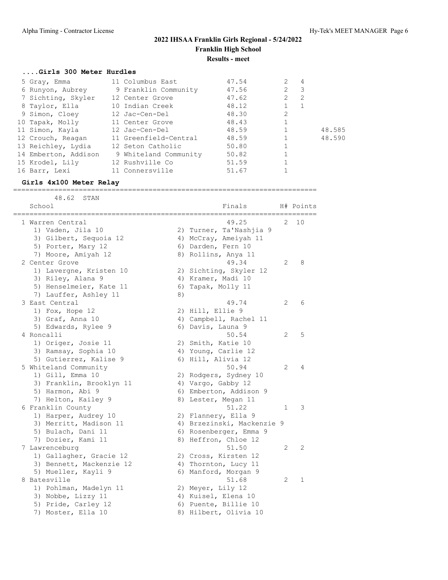## **....Girls 300 Meter Hurdles**

| 5 Gray, Emma         | 11 Columbus East      | 47.54 | $\mathcal{L}$  | $\overline{4}$ |        |
|----------------------|-----------------------|-------|----------------|----------------|--------|
| 6 Runyon, Aubrey     | 9 Franklin Community  | 47.56 | $2 \quad 3$    |                |        |
| 7 Sichting, Skyler   | 12 Center Grove       | 47.62 | $\overline{2}$ | $\overline{2}$ |        |
| 8 Taylor, Ella       | 10 Indian Creek       | 48.12 |                |                |        |
| 9 Simon, Cloey       | 12 Jac-Cen-Del        | 48.30 | $\overline{2}$ |                |        |
| 10 Tapak, Molly      | 11 Center Grove       | 48.43 |                |                |        |
| 11 Simon, Kayla      | 12 Jac-Cen-Del        | 48.59 |                |                | 48.585 |
| 12 Crouch, Reagan    | 11 Greenfield-Central | 48.59 |                |                | 48.590 |
| 13 Reichley, Lydia   | 12 Seton Catholic     | 50.80 |                |                |        |
| 14 Emberton, Addison | 9 Whiteland Community | 50.82 |                |                |        |
| 15 Krodel, Lily      | 12 Rushville Co       | 51.59 |                |                |        |
| 16 Barr, Lexi        | 11 Connersville       | 51.67 |                |                |        |

### **Girls 4x100 Meter Relay**

==========================================================================

| 48.62<br>STAN            |    |                            |                |           |
|--------------------------|----|----------------------------|----------------|-----------|
| School                   |    | Finals                     |                | H# Points |
| 1 Warren Central         |    | 49.25                      | 2              | 10        |
| 1) Vaden, Jila 10        |    | 2) Turner, Ta'Nashjia 9    |                |           |
| 3) Gilbert, Sequoia 12   |    | 4) McCray, Ameiyah 11      |                |           |
| 5) Porter, Mary 12       |    | 6) Darden, Fern 10         |                |           |
| 7) Moore, Amiyah 12      |    | 8) Rollins, Anya 11        |                |           |
| 2 Center Grove           |    | 49.34                      | 2              | 8         |
| 1) Lavergne, Kristen 10  |    | 2) Sichting, Skyler 12     |                |           |
| 3) Riley, Alana 9        |    | 4) Kramer, Madi 10         |                |           |
| 5) Henselmeier, Kate 11  |    | 6) Tapak, Molly 11         |                |           |
| 7) Lauffer, Ashley 11    | 8) |                            |                |           |
| 3 East Central           |    | 49.74                      | 2              | 6         |
| 1) Fox, Hope 12          |    | 2) Hill, Ellie 9           |                |           |
| 3) Graf, Anna 10         |    | 4) Campbell, Rachel 11     |                |           |
| 5) Edwards, Rylee 9      |    | 6) Davis, Launa 9          |                |           |
| 4 Roncalli               |    | 50.54                      | $\overline{2}$ | 5         |
| 1) Origer, Josie 11      |    | 2) Smith, Katie 10         |                |           |
| 3) Ramsay, Sophia 10     |    | 4) Young, Carlie 12        |                |           |
| 5) Gutierrez, Kalise 9   |    | 6) Hill, Alivia 12         |                |           |
| 5 Whiteland Community    |    | 50.94                      | 2              | 4         |
| 1) Gill, Emma 10         |    | 2) Rodgers, Sydney 10      |                |           |
| 3) Franklin, Brooklyn 11 |    | 4) Vargo, Gabby 12         |                |           |
| 5) Harmon, Abi 9         |    | 6) Emberton, Addison 9     |                |           |
| 7) Helton, Kailey 9      |    | 8) Lester, Megan 11        |                |           |
| 6 Franklin County        |    | 51.22                      | 1              | 3         |
| 1) Harper, Audrey 10     |    | 2) Flannery, Ella 9        |                |           |
| 3) Merritt, Madison 11   |    | 4) Brzezinski, Mackenzie 9 |                |           |
| 5) Bulach, Dani 11       |    | 6) Rosenberger, Emma 9     |                |           |
| 7) Dozier, Kami 11       |    | 8) Heffron, Chloe 12       |                |           |
| 7 Lawrenceburg           |    | 51.50                      | $\overline{2}$ | 2         |
| 1) Gallagher, Gracie 12  |    | 2) Cross, Kirsten 12       |                |           |
| 3) Bennett, Mackenzie 12 |    | 4) Thornton, Lucy 11       |                |           |
| 5) Mueller, Kayli 9      |    | 6) Manford, Morgan 9       |                |           |
| 8 Batesville             |    | 51.68                      | 2              | 1         |
| 1) Pohlman, Madelyn 11   |    | 2) Meyer, Lily 12          |                |           |
| 3) Nobbe, Lizzy 11       |    | 4) Kuisel, Elena 10        |                |           |
| 5) Pride, Carley 12      |    | 6) Puente, Billie 10       |                |           |
| 7) Moster, Ella 10       |    | 8) Hilbert, Olivia 10      |                |           |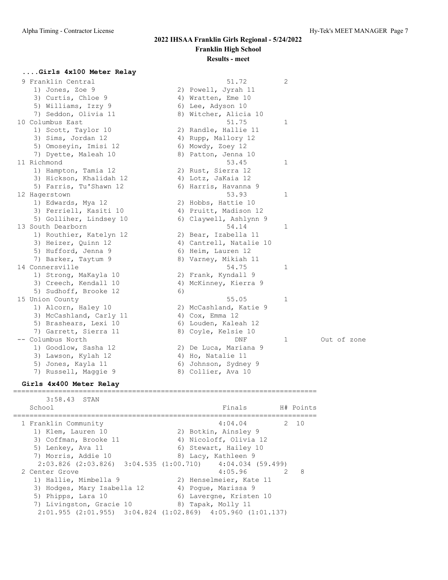1 Out of zone

## **2022 IHSAA Franklin Girls Regional - 5/24/2022 Franklin High School Results - meet**

#### **....Girls 4x100 Meter Relay**

| 9 Franklin Central      |    | 51.72                   | $\overline{c}$ |
|-------------------------|----|-------------------------|----------------|
| 1) Jones, Zoe 9         |    | 2) Powell, Jyrah 11     |                |
| 3) Curtis, Chloe 9      |    | 4) Wratten, Eme 10      |                |
| 5) Williams, Izzy 9     |    | 6) Lee, Adyson 10       |                |
| 7) Seddon, Olivia 11    |    | 8) Witcher, Alicia 10   |                |
| 10 Columbus East        |    | 51.75                   | $\mathbf{1}$   |
| 1) Scott, Taylor 10     |    | 2) Randle, Hallie 11    |                |
| 3) Sims, Jordan 12      |    | 4) Rupp, Mallory 12     |                |
| 5) Omoseyin, Imisi 12   |    | 6) Mowdy, Zoey 12       |                |
| 7) Dyette, Maleah 10    |    | 8) Patton, Jenna 10     |                |
| 11 Richmond             |    | 53.45                   | 1              |
| 1) Hampton, Tamia 12    |    | 2) Rust, Sierra 12      |                |
| 3) Hickson, Khalidah 12 |    | 4) Lotz, JaKaia 12      |                |
| 5) Farris, Tu'Shawn 12  |    | 6) Harris, Havanna 9    |                |
| 12 Hagerstown           |    | 53.93                   | $\mathbf{1}$   |
| 1) Edwards, Mya 12      |    | 2) Hobbs, Hattie 10     |                |
| 3) Ferriell, Kasiti 10  |    | 4) Pruitt, Madison 12   |                |
| 5) Golliher, Lindsey 10 |    | 6) Claywell, Ashlynn 9  |                |
| 13 South Dearborn       |    | 54.14                   | $\mathbf{1}$   |
| 1) Routhier, Katelyn 12 |    | 2) Bear, Izabella 11    |                |
| 3) Heizer, Quinn 12     |    | 4) Cantrell, Natalie 10 |                |
| 5) Hufford, Jenna 9     |    | 6) Heim, Lauren 12      |                |
| 7) Barker, Taytum 9     |    | 8) Varney, Mikiah 11    |                |
| 14 Connersville         |    | 54.75                   | $\mathbf{1}$   |
| 1) Strong, MaKayla 10   |    | 2) Frank, Kyndall 9     |                |
| 3) Creech, Kendall 10   |    | 4) McKinney, Kierra 9   |                |
| 5) Sudhoff, Brooke 12   | 6) |                         |                |
| 15 Union County         |    | 55.05                   | $\mathbf{1}$   |
| 1) Alcorn, Haley 10     |    | 2) McCashland, Katie 9  |                |
| 3) McCashland, Carly 11 |    | 4) $Cox$ , Emma 12      |                |
| 5) Brashears, Lexi 10   |    | 6) Louden, Kaleah 12    |                |
| 7) Garrett, Sierra 11   |    | 8) Coyle, Kelsie 10     |                |
| -- Columbus North       |    | DNF                     | $\mathbf{1}$   |
| 1) Goodlow, Sasha 12    |    | 2) De Luca, Mariana 9   |                |
| 3) Lawson, Kylah 12     |    | 4) Ho, Natalie 11       |                |
| 5) Jones, Kayla 11      |    | 6) Johnson, Sydney 9    |                |
| 7) Russell, Maggie 9    |    | 8) Collier, Ava 10      |                |

#### **Girls 4x400 Meter Relay** ==========================================================================

 3:58.43 STAN School Finals H# Points ========================================================================== 1 Franklin Community 4:04.04 2 10 1) Klem, Lauren 10 2) Botkin, Ainsley 9 3) Coffman, Brooke 11 4) Nicoloff, Olivia 12 5) Lenkey, Ava 11 6) Stewart, Hailey 10 7) Morris, Addie 10 8) Lacy, Kathleen 9 2:03.826 (2:03.826) 3:04.535 (1:00.710) 4:04.034 (59.499) 2 Center Grove 4:05.96 2 8 1) Hallie, Mimbella 9 2) Henselmeier, Kate 11 3) Hodges, Mary Isabella 12 (4) Pogue, Marissa 9 5) Phipps, Lara 10 6) Lavergne, Kristen 10 7) Livingston, Gracie 10 8) Tapak, Molly 11 2:01.955 (2:01.955) 3:04.824 (1:02.869) 4:05.960 (1:01.137)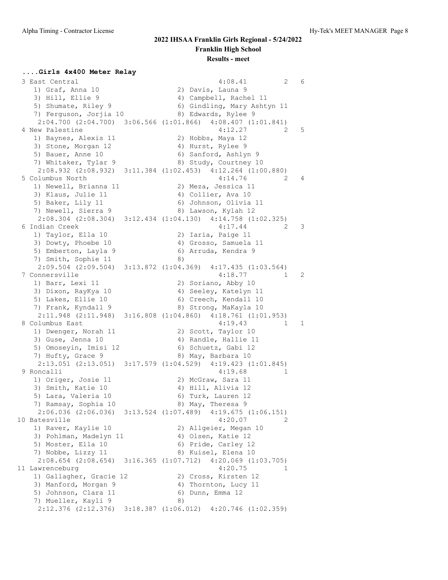## **....Girls 4x400 Meter Relay**

| 3 East Central                                  | 4:08.41<br>2                                                | 6            |
|-------------------------------------------------|-------------------------------------------------------------|--------------|
| 1) Graf, Anna 10                                | 2) Davis, Launa 9                                           |              |
| 3) Hill, Ellie 9                                | 4) Campbell, Rachel 11                                      |              |
| 5) Shumate, Riley 9                             | 6) Gindling, Mary Ashtyn 11                                 |              |
| 7) Ferguson, Jorjia 10                          | 8) Edwards, Rylee 9                                         |              |
|                                                 | 2:04.700 (2:04.700) 3:06.566 (1:01.866) 4:08.407 (1:01.841) |              |
| 4 New Palestine                                 | 4:12.27<br>2                                                | 5            |
| 1) Baynes, Alexis 11                            | 2) Hobbs, Maya 12                                           |              |
| 3) Stone, Morgan 12                             | 4) Hurst, Rylee 9                                           |              |
| 5) Bauer, Anne 10                               | 6) Sanford, Ashlyn 9                                        |              |
| 7) Whitaker, Tylar 9                            | 8) Study, Courtney 10                                       |              |
|                                                 | 2:08.932 (2:08.932) 3:11.384 (1:02.453) 4:12.264 (1:00.880) |              |
| 5 Columbus North                                | 4:14.76<br>2                                                | 4            |
| 1) Newell, Brianna 11                           | 2) Meza, Jessica 11                                         |              |
| 3) Klaus, Julie 11                              | 4) Collier, Ava 10                                          |              |
| 5) Baker, Lily 11                               | 6) Johnson, Olivia 11                                       |              |
| 7) Newell, Sierra 9                             | 8) Lawson, Kylah 12                                         |              |
|                                                 | 2:08.304 (2:08.304) 3:12.434 (1:04.130) 4:14.758 (1:02.325) |              |
| 6 Indian Creek                                  | 4:17.44<br>2                                                | 3            |
| 1) Taylor, Ella 10                              | 2) Iaria, Paige 11                                          |              |
| 3) Dowty, Phoebe 10                             |                                                             |              |
|                                                 | 4) Grosso, Samuela 11<br>6) Arruda, Kendra 9                |              |
| 5) Emberton, Layla 9                            |                                                             |              |
| 7) Smith, Sophie 11                             | 8)                                                          |              |
| $2:09.504$ $(2:09.504)$                         | $3:13.872$ $(1:04.369)$<br>4:17.435(1:03.564)               |              |
| 7 Connersville                                  | 4:18.77<br>1                                                | 2            |
| 1) Barr, Lexi 11                                | 2) Soriano, Abby 10                                         |              |
| 3) Dixon, RayKya 10                             | 4) Seeley, Katelyn 11                                       |              |
| 5) Lakes, Ellie 10                              | 6) Creech, Kendall 10                                       |              |
| 7) Frank, Kyndall 9                             | 8) Strong, MaKayla 10                                       |              |
|                                                 | 2:11.948 (2:11.948) 3:16.808 (1:04.860) 4:18.761 (1:01.953) |              |
| 8 Columbus East                                 | 4:19.43<br>1                                                | $\mathbf{1}$ |
| 1) Dwenger, Norah 11                            | 2) Scott, Taylor 10                                         |              |
| 3) Guse, Jenna 10                               | 4) Randle, Hallie 11                                        |              |
| 5) Omoseyin, Imisi 12                           | 6) Schuetz, Gabi 12                                         |              |
| 7) Hufty, Grace 9                               | 8) May, Barbara 10                                          |              |
|                                                 | 2:13.051 (2:13.051) 3:17.579 (1:04.529) 4:19.423 (1:01.845) |              |
| 9 Roncalli                                      | 4:19.68<br>1                                                |              |
| 1) Origer, Josie 11                             | 2) McGraw, Sara 11                                          |              |
| 3) Smith, Katie 10                              | 4) Hill, Alivia 12                                          |              |
| 5) Lara, Valeria 10                             | 6) Turk, Lauren 12                                          |              |
| 7) Ramsay, Sophia 10                            | 8) May, Theresa 9                                           |              |
| $2:06.036$ $(2:06.036)$ $3:13.524$ $(1:07.489)$ | 4:19.675(1:06.151)                                          |              |
| 10 Batesville                                   | 4:20.07<br>2                                                |              |
| 1) Raver, Kaylie 10                             | 2) Allgeier, Megan 10                                       |              |
| 3) Pohlman, Madelyn 11                          | 4) Olsen, Katie 12                                          |              |
| 5) Moster, Ella 10                              | 6) Pride, Carley 12                                         |              |
| 7) Nobbe, Lizzy 11                              | 8) Kuisel, Elena 10                                         |              |
| $2:08.654$ (2:08.654) 3:16.365 (1:07.712)       | $4:20.069$ $(1:03.705)$                                     |              |
| 11 Lawrenceburg                                 | 4:20.75<br>1                                                |              |
| 1) Gallagher, Gracie 12                         | 2) Cross, Kirsten 12                                        |              |
| 3) Manford, Morgan 9                            | 4) Thornton, Lucy 11                                        |              |
| 5) Johnson, Clara 11                            | 6) Dunn, Emma 12                                            |              |
| 7) Mueller, Kayli 9                             | 8)                                                          |              |
| 2:12.376 (2:12.376)                             | $3:18.387$ $(1:06.012)$<br>$4:20.746$ $(1:02.359)$          |              |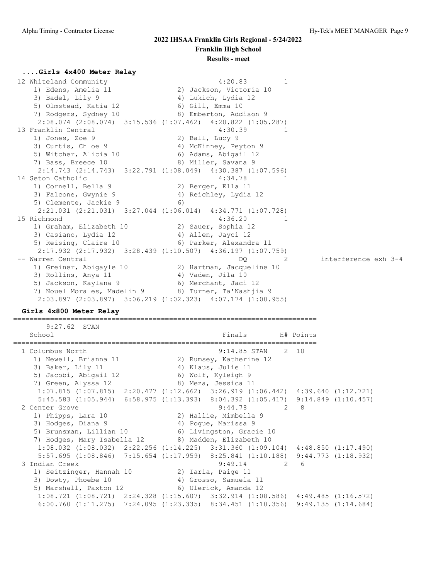### **....Girls 4x400 Meter Relay**

| 12 Whiteland Community                               | 4:20.83<br>1                                                            |                      |
|------------------------------------------------------|-------------------------------------------------------------------------|----------------------|
| 1) Edens, Amelia 11                                  | 2) Jackson, Victoria 10                                                 |                      |
| 3) Badel, Lily 9                                     | 4) Lukich, Lydia 12                                                     |                      |
| 5) Olmstead, Katia 12                                | 6) Gill, Emma 10                                                        |                      |
| 7) Rodgers, Sydney 10 (8) Emberton, Addison 9        |                                                                         |                      |
|                                                      | 2:08.074 (2:08.074) 3:15.536 (1:07.462) 4:20.822 (1:05.287)             |                      |
| 13 Franklin Central                                  | 4:30.39                                                                 |                      |
| 1) Jones, Zoe 9                                      | 2) Ball, Lucy 9                                                         |                      |
| 3) Curtis, Chloe 9                                   | 4) McKinney, Peyton 9                                                   |                      |
| 5) Witcher, Alicia 10                                | 6) Adams, Abigail 12                                                    |                      |
| 7) Bass, Breece 10                                   | 8) Miller, Savana 9                                                     |                      |
|                                                      | $2:14.743$ $(2:14.743)$ $3:22.791$ $(1:08.049)$ $4:30.387$ $(1:07.596)$ |                      |
| 14 Seton Catholic                                    | 4:34.78                                                                 |                      |
| 1) Cornell, Bella 9                                  | 2) Berger, Ella 11                                                      |                      |
| 3) Falcone, Gwynie 9                                 | 4) Reichley, Lydia 12                                                   |                      |
| 5) Clemente, Jackie 9                                | 6)                                                                      |                      |
|                                                      | $2:21.031$ $(2:21.031)$ $3:27.044$ $(1:06.014)$ $4:34.771$ $(1:07.728)$ |                      |
| 15 Richmond                                          | 4:36.20                                                                 |                      |
| 1) Graham, Elizabeth 10 (2) Sauer, Sophia 12         |                                                                         |                      |
| 3) Casiano, Lydia 12                                 | 4) Allen, Jayci 12                                                      |                      |
| 5) Reising, Claire 10 (6) Parker, Alexandra 11       |                                                                         |                      |
|                                                      | $2:17.932$ $(2:17.932)$ $3:28.439$ $(1:10.507)$ $4:36.197$ $(1:07.759)$ |                      |
| -- Warren Central                                    | DO.<br>$\overline{2}$                                                   | interference exh 3-4 |
| 1) Greiner, Abigayle 10                              | 2) Hartman, Jacqueline 10                                               |                      |
| 3) Rollins, Anya 11                                  | 4) Vaden, Jila 10                                                       |                      |
| 5) Jackson, Kaylana 9 (6) Merchant, Jaci 12          |                                                                         |                      |
| 7) Nouel Morales, Madelin 9 (8) Turner, Ta'Nashjia 9 |                                                                         |                      |
|                                                      | 2:03.897 (2:03.897) 3:06.219 (1:02.323) 4:07.174 (1:00.955)             |                      |

#### **Girls 4x800 Meter Relay**

========================================================================== 9:27.62 STAN School Finals H# Points

| 9:14.85 STAN 2 10                                                                               |                                                                                                                                                                                                         |
|-------------------------------------------------------------------------------------------------|---------------------------------------------------------------------------------------------------------------------------------------------------------------------------------------------------------|
| 2) Rumsey, Katherine 12                                                                         |                                                                                                                                                                                                         |
| 4) Klaus, Julie 11                                                                              |                                                                                                                                                                                                         |
| 6) Wolf, Kyleigh 9                                                                              |                                                                                                                                                                                                         |
|                                                                                                 |                                                                                                                                                                                                         |
| $1:07.815$ $(1:07.815)$ $2:20.477$ $(1:12.662)$ $3:26.919$ $(1:06.442)$ $4:39.640$ $(1:12.721)$ |                                                                                                                                                                                                         |
| 5:45.583 (1:05.944) 6:58.975 (1:13.393) 8:04.392 (1:05.417) 9:14.849 (1:10.457)                 |                                                                                                                                                                                                         |
| $9:44.78$ 2 8                                                                                   |                                                                                                                                                                                                         |
| 2) Hallie, Mimbella 9                                                                           |                                                                                                                                                                                                         |
| 4) Poque, Marissa 9                                                                             |                                                                                                                                                                                                         |
|                                                                                                 |                                                                                                                                                                                                         |
|                                                                                                 |                                                                                                                                                                                                         |
| $1:08.032$ (1:08.032) 2:22.256 (1:14.225) 3:31.360 (1:09.104) 4:48.850 (1:17.490)               |                                                                                                                                                                                                         |
| 5:57.695 (1:08.846) 7:15.654 (1:17.959) 8:25.841 (1:10.188) 9:44.773 (1:18.932)                 |                                                                                                                                                                                                         |
| $9:49.14$ 2 6                                                                                   |                                                                                                                                                                                                         |
| 2) Iaria, Paige 11                                                                              |                                                                                                                                                                                                         |
| 4) Grosso, Samuela 11                                                                           |                                                                                                                                                                                                         |
|                                                                                                 |                                                                                                                                                                                                         |
| $1:08.721$ $(1:08.721)$ $2:24.328$ $(1:15.607)$ $3:32.914$ $(1:08.586)$ $4:49.485$ $(1:16.572)$ |                                                                                                                                                                                                         |
| $6:00.760$ $(1:11.275)$ $7:24.095$ $(1:23.335)$ $8:34.451$ $(1:10.356)$ $9:49.135$ $(1:14.684)$ |                                                                                                                                                                                                         |
|                                                                                                 | 7) Green, Alyssa 12 and 8) Meza, Jessica 11<br>5) Brunsman, Lillian 10 6) Livingston, Gracie 10<br>7) Hodges, Mary Isabella 12 3) Madden, Elizabeth 10<br>5) Marshall, Paxton 12 (6) Ulerick, Amanda 12 |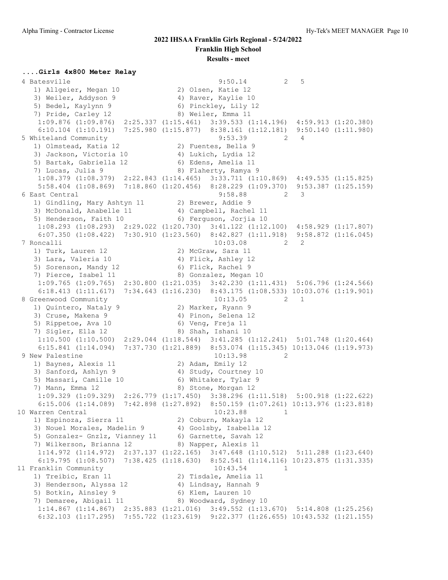#### **....Girls 4x800 Meter Relay**

 4 Batesville 9:50.14 2 5 1) Allgeier, Megan 10 2) Olsen, Katie 12 3) Weiler, Addyson 9 1988 4) Raver, Kaylie 10 5) Bedel, Kaylynn 9 6) Pinckley, Lily 12 7) Pride, Carley 12 8) Weiler, Emma 11 1:09.876 (1:09.876) 2:25.337 (1:15.461) 3:39.533 (1:14.196) 4:59.913 (1:20.380) 6:10.104 (1:10.191) 7:25.980 (1:15.877) 8:38.161 (1:12.181) 9:50.140 (1:11.980) 5 Whiteland Community 9:53.39 2 4 1) Olmstead, Katia 12 2) Fuentes, Bella 9 3) Jackson, Victoria 10 4) Lukich, Lydia 12 5) Bartak, Gabriella 12 (6) Edens, Amelia 11 7) Lucas, Julia 9 8) Flaherty, Ramya 9 1:08.379 (1:08.379) 2:22.843 (1:14.465) 3:33.711 (1:10.869) 4:49.535 (1:15.825) 5:58.404 (1:08.869) 7:18.860 (1:20.456) 8:28.229 (1:09.370) 9:53.387 (1:25.159) 6 East Central 9:58.88 2 3 1) Gindling, Mary Ashtyn 11 2) Brewer, Addie 9 3) McDonald, Anabelle 11 4) Campbell, Rachel 11 5) Henderson, Faith 10 (6) Ferguson, Jorjia 10 1:08.293 (1:08.293) 2:29.022 (1:20.730) 3:41.122 (1:12.100) 4:58.929 (1:17.807) 6:07.350 (1:08.422) 7:30.910 (1:23.560) 8:42.827 (1:11.918) 9:58.872 (1:16.045)<br>oncalli 10:03.08 2 2 7 Roncalli 10:03.08 2 2 1) Turk, Lauren 12 2) McGraw, Sara 11 3) Lara, Valeria 10 4) Flick, Ashley 12 5) Sorenson, Mandy 12 6) Flick, Rachel 9 7) Pierce, Isabel 11 and 8) Gonzalez, Megan 10 1:09.765 (1:09.765) 2:30.800 (1:21.035) 3:42.230 (1:11.431) 5:06.796 (1:24.566) 6:18.413 (1:11.617) 7:34.643 (1:16.230) 8:43.175 (1:08.533) 10:03.076 (1:19.901) 8 Greenwood Community 10:13.05 2 1 1) Quintero, Nataly 9 120 2) Marker, Ryann 9 3) Cruse, Makena 9 (4) Pinon, Selena 12 5) Rippetoe, Ava 10 6) Veng, Freja 11 7) Sigler, Ella 12 8) Shah, Ishani 10 1:10.500 (1:10.500) 2:29.044 (1:18.544) 3:41.285 (1:12.241) 5:01.748 (1:20.464) 6:15.841 (1:14.094) 7:37.730 (1:21.889) 8:53.074 (1:15.345) 10:13.046 (1:19.973) 9 New Palestine 2 2 1) Baynes, Alexis 11 2) Adam, Emily 12 3) Sanford, Ashlyn 9 4) Study, Courtney 10 5) Massari, Camille 10 6) Whitaker, Tylar 9 7) Mann, Emma 12 8) Stone, Morgan 12 1:09.329 (1:09.329) 2:26.779 (1:17.450) 3:38.296 (1:11.518) 5:00.918 (1:22.622) 6:15.006 (1:14.089) 7:42.898 (1:27.892) 8:50.159 (1:07.261) 10:13.976 (1:23.818) 10 Warren Central 10:23.88 1 1) Espinoza, Sierra 11 2) Coburn, Makayla 12 3) Nouel Morales, Madelin 9 4) Goolsby, Isabella 12 5) Gonzalez- Gnzlz, Vianney 11 6) Garnette, Savah 12 7) Wilkerson, Brianna 12 8) Napper, Alexis 11 1:14.972 (1:14.972) 2:37.137 (1:22.165) 3:47.648 (1:10.512) 5:11.288 (1:23.640) 6:19.795 (1:08.507) 7:38.425 (1:18.630) 8:52.541 (1:14.116) 10:23.875 (1:31.335) 11 Franklin Community 10:43.54 1 1) Treibic, Eran 11 2) Tisdale, Amelia 11 3) Henderson, Alyssa 12 4) Lindsay, Hannah 9 5) Botkin, Ainsley 9 6) Klem, Lauren 10 7) Demaree, Abigail 11 8) Woodward, Sydney 10 1:14.867 (1:14.867) 2:35.883 (1:21.016) 3:49.552 (1:13.670) 5:14.808 (1:25.256) 6:32.103 (1:17.295) 7:55.722 (1:23.619) 9:22.377 (1:26.655) 10:43.532 (1:21.155)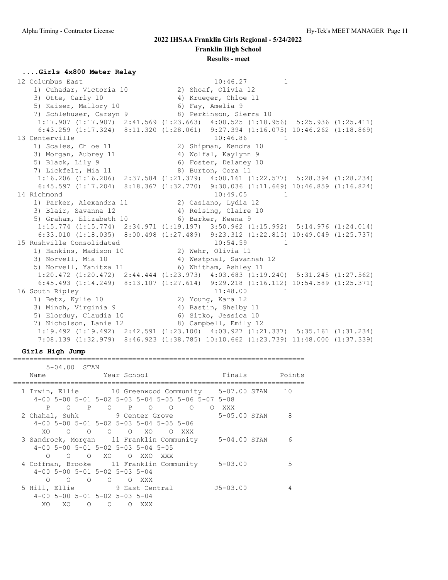#### **....Girls 4x800 Meter Relay**

 12 Columbus East 10:46.27 1 1) Cuhadar, Victoria 10 2) Shoaf, Olivia 12 3) Otte, Carly 10 4) Krueger, Chloe 11 5) Kaiser, Mallory 10 6) Fay, Amelia 9 7) Schlehuser, Carsyn 9 8) Perkinson, Sierra 10 1:17.907 (1:17.907) 2:41.569 (1:23.663) 4:00.525 (1:18.956) 5:25.936 (1:25.411) 6:43.259 (1:17.324) 8:11.320 (1:28.061) 9:27.394 (1:16.075) 10:46.262 (1:18.869) 13 Centerville 20:46.86 1 1) Scales, Chloe 11 2) Shipman, Kendra 10 3) Morgan, Aubrey 11  $\hskip1cm$  4) Wolfal, Kaylynn 9 5) Black, Lily 9 6) Foster, Delaney 10 7) Lickfelt, Mia 11 8) Burton, Cora 11 1:16.206 (1:16.206) 2:37.584 (1:21.379) 4:00.161 (1:22.577) 5:28.394 (1:28.234) 6:45.597 (1:17.204) 8:18.367 (1:32.770) 9:30.036 (1:11.669) 10:46.859 (1:16.824) 14 Richmond 10:49.05 1 1) Parker, Alexandra 11 2) Casiano, Lydia 12 3) Blair, Savanna 12 4) Reising, Claire 10 5) Graham, Elizabeth 10 (6) Barker, Keena 9 1:15.774 (1:15.774) 2:34.971 (1:19.197) 3:50.962 (1:15.992) 5:14.976 (1:24.014) 6:33.010 (1:18.035) 8:00.498 (1:27.489) 9:23.312 (1:22.815) 10:49.049 (1:25.737) 15 Rushville Consolidated 10:54.59 1 1) Hankins, Madison 10 2) Wehr, Olivia 11 3) Norvell, Mia 10 4) Westphal, Savannah 12 5) Norvell, Yanitza 11 6) Whitham, Ashley 11 1:20.472 (1:20.472) 2:44.444 (1:23.973) 4:03.683 (1:19.240) 5:31.245 (1:27.562) 6:45.493 (1:14.249) 8:13.107 (1:27.614) 9:29.218 (1:16.112) 10:54.589 (1:25.371)<br>uth Ripley 11:48.00 1 16 South Ripley 11:48.00 1 1) Betz, Kylie 10 2) Young, Kara 12 3) Minch, Virginia 9 1988 1989 11 5) Elorduy, Claudia 10 (6) Sitko, Jessica 10 7) Nicholson, Lanie 12 8) Campbell, Emily 12 1:19.492 (1:19.492) 2:42.591 (1:23.100) 4:03.927 (1:21.337) 5:35.161 (1:31.234) 7:08.139 (1:32.979) 8:46.923 (1:38.785) 10:10.662 (1:23.739) 11:48.000 (1:37.339)

#### **Girls High Jump**

======================================================================= 5-04.00 STAN

| Name                         | 07.UV | <b>ULTIN</b><br>Year School                  |                          |                                         |                                                   |                                                       | Finals Points  |
|------------------------------|-------|----------------------------------------------|--------------------------|-----------------------------------------|---------------------------------------------------|-------------------------------------------------------|----------------|
|                              |       |                                              |                          |                                         | 4-00 5-00 5-01 5-02 5-03 5-04 5-05 5-06 5-07 5-08 | 1 Irwin, Ellie 10 Greenwood Community 5-07.00 STAN 10 |                |
| P                            |       |                                              |                          | O P O P O O                             | O OXXX                                            |                                                       |                |
|                              |       |                                              |                          |                                         |                                                   | 2 Chahal, Suhk 9 Center Grove 5-05.00 STAN            | 8 <sup>8</sup> |
|                              |       |                                              |                          | 4-00 5-00 5-01 5-02 5-03 5-04 5-05 5-06 |                                                   |                                                       |                |
|                              |       |                                              |                          | XOOOOOOXOOXXX                           |                                                   |                                                       |                |
|                              |       |                                              |                          |                                         |                                                   | 3 Sandrock, Morgan 11 Franklin Community 5-04.00 STAN | 6              |
|                              |       |                                              |                          | $4-00$ 5-00 5-01 5-02 5-03 5-04 5-05    |                                                   |                                                       |                |
| ∩                            |       |                                              |                          | O O XO O XXO XXX                        |                                                   |                                                       |                |
|                              |       |                                              |                          |                                         |                                                   | 4 Coffman, Brooke 11 Franklin Community 5-03.00       | 5              |
|                              |       | $4-00$ 5-00 5-01 5-02 5-03 5-04              |                          |                                         |                                                   |                                                       |                |
| $\Omega$                     |       | $\begin{matrix} 0 & 0 \\ 0 & 0 \end{matrix}$ |                          | O OXXX                                  |                                                   |                                                       |                |
| 5 Hill, Ellie 9 East Central |       |                                              |                          |                                         |                                                   | J5-03.00                                              |                |
|                              |       | $4-00$ 5-00 5-01 5-02 5-03 5-04              |                          |                                         |                                                   |                                                       |                |
| XO.                          | XO    | $\circ$                                      | $\overline{\phantom{0}}$ | O XXX                                   |                                                   |                                                       |                |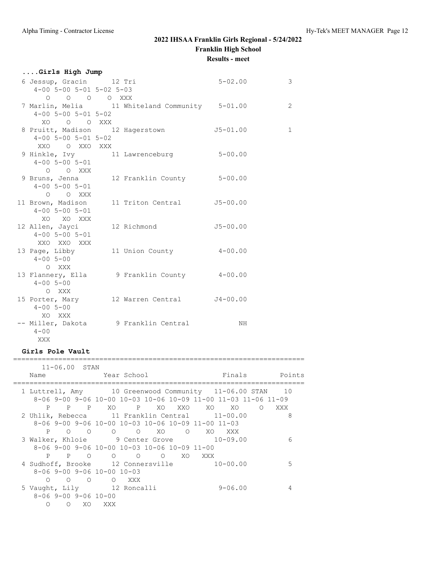| Girls High Jump              |                                                |              |                |
|------------------------------|------------------------------------------------|--------------|----------------|
| 6 Jessup, Gracin 12 Tri      |                                                | $5 - 02.00$  | 3              |
| $4 - 00$ 5-00 5-01 5-02 5-03 |                                                |              |                |
| $O$ $O$ $O$ $O$ $XXX$        |                                                |              |                |
|                              | 7 Marlin, Melia 11 Whiteland Community 5-01.00 |              | $\overline{2}$ |
| $4 - 00$ 5-00 5-01 5-02      |                                                |              |                |
| XO O O XXX                   |                                                |              |                |
|                              | 8 Pruitt, Madison 12 Hagerstown 5-01.00        |              | $\mathbf{1}$   |
| $4 - 00$ 5-00 5-01 5-02      |                                                |              |                |
| XXO O XXO XXX                |                                                |              |                |
|                              | 9 Hinkle, Ivy 11 Lawrenceburg                  | $5 - 00.00$  |                |
| $4 - 00$ 5-00 5-01           |                                                |              |                |
| O O XXX                      |                                                |              |                |
|                              | 9 Bruns, Jenna 12 Franklin County 5-00.00      |              |                |
| $4 - 00$ 5-00 5-01           |                                                |              |                |
| O O XXX                      |                                                |              |                |
|                              | 11 Brown, Madison 11 Triton Central 55-00.00   |              |                |
| $4 - 00$ 5-00 5-01           |                                                |              |                |
| XO XO XXX                    |                                                |              |                |
|                              | 12 Allen, Jayci 12 Richmond                    | $J5 - 00.00$ |                |
| $4 - 00$ 5-00 5-01           |                                                |              |                |
| XXO XXO XXX                  |                                                |              |                |
|                              | 13 Page, Libby 11 Union County 4-00.00         |              |                |
| $4 - 00$ 5-00                |                                                |              |                |
| O XXX                        |                                                |              |                |
|                              | 13 Flannery, Ella 9 Franklin County 4-00.00    |              |                |
| $4 - 00$ 5-00                |                                                |              |                |
| O XXX                        |                                                |              |                |
|                              | 15 Porter, Mary 12 Warren Central J4-00.00     |              |                |
| $4 - 005 - 00$               |                                                |              |                |
| XO XXX                       |                                                |              |                |
| $4 - 00$                     | -- Miller, Dakota 9 Franklin Central           | NH           |                |
|                              |                                                |              |                |
| XXX                          |                                                |              |                |

#### **Girls Pole Vault**

======================================================================= 11-06.00 STAN Name Year School Finals Points ======================================================================= 1 Luttrell, Amy 10 Greenwood Community 11-06.00 STAN 10 8-06 9-00 9-06 10-00 10-03 10-06 10-09 11-00 11-03 11-06 11-09 P P P XO P XO XXO XO XO O XXX 2 Uhlik, Rebecca 11 Franklin Central 11-00.00 8 8-06 9-00 9-06 10-00 10-03 10-06 10-09 11-00 11-03 P O O O O XO O XO XXX 3 Walker, Khloie 9 Center Grove 10-09.00 6 8-06 9-00 9-06 10-00 10-03 10-06 10-09 11-00 P P O O O O XO XXX 4 Sudhoff, Brooke 12 Connersville 10-00.00 5 8-06 9-00 9-06 10-00 10-03 O O O O XXX 5 Vaught, Lily 12 Roncalli 9-06.00 4 8-06 9-00 9-06 10-00 O O XO XXX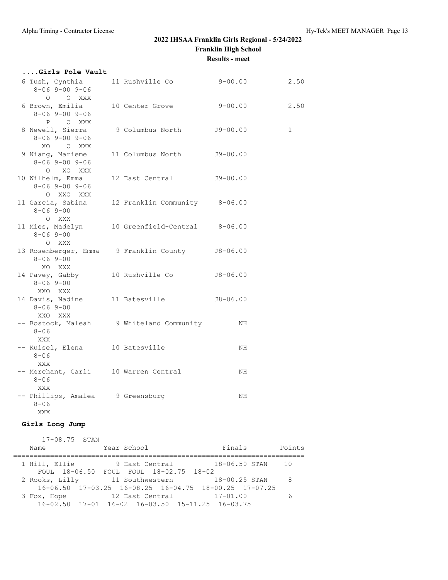**....Girls Pole Vault**

## **2022 IHSAA Franklin Girls Regional - 5/24/2022 Franklin High School Results - meet**

## 6 Tush, Cynthia 11 Rushville Co 9-00.00 2.50 8-06 9-00 9-06 O O XXX 6 Brown, Emilia 10 Center Grove 9-00.00 2.50 8-06 9-00 9-06 P O XXX 8 Newell, Sierra 9 Columbus North J9-00.00 1 8-06 9-00 9-06 XO O XXX 8-06 9-00 9-06

| $8 - 069 - 009 - 06$<br>XO O XXX                            |                                                |              |
|-------------------------------------------------------------|------------------------------------------------|--------------|
| 9 Niang, Marieme<br>$8 - 069 - 009 - 06$                    | 11 Columbus North                              | $J9 - 00.00$ |
| O XO XXX<br>10 Wilhelm, Emma<br>8-06 9-00 9-06              | 12 East Central                                | $J9 - 00.00$ |
| O XXO XXX<br>11 Garcia, Sabina<br>$8 - 069 - 00$            | 12 Franklin Community 8-06.00                  |              |
| O XXX<br>$8 - 069 - 00$                                     | 11 Mies, Madelyn 10 Greenfield-Central 8-06.00 |              |
| O XXX<br>$8 - 069 - 00$                                     | 13 Rosenberger, Emma 9 Franklin County         | $J8 - 06.00$ |
| XO XXX<br>14 Pavey, Gabby<br>$8 - 069 - 00$                 | 10 Rushville Co                                | $J8 - 06.00$ |
| XXO XXX<br>14 Davis, Nadine 11 Batesville<br>$8 - 069 - 00$ |                                                | $J8 - 06.00$ |
| XXO XXX<br>$8 - 06$                                         | -- Bostock, Maleah 9 Whiteland Community       | NH           |
| XXX<br>-- Kuisel, Elena 10 Batesville<br>$8 - 06$           |                                                | NH           |
| XXX<br>-- Merchant, Carli 10 Warren Central<br>$8 - 06$     |                                                | NH           |
| XXX<br>-- Phillips, Amalea 9 Greensburg<br>$8 - 06$         |                                                | NH           |
| XXX                                                         |                                                |              |

#### **Girls Long Jump**

| $17 - 08.75$ STAN |                                                                                         |               |        |
|-------------------|-----------------------------------------------------------------------------------------|---------------|--------|
| Name              | Year School                                                                             | Finals        | Points |
| 1 Hill, Ellie     | 9 East Central<br>FOUL 18-06.50 FOUL FOUL 18-02.75 18-02                                | 18-06.50 STAN | 10     |
| 2 Rooks, Lilly    | 11 Southwestern<br>$16-06.50$ $17-03.25$ $16-08.25$ $16-04.75$ $18-00.25$ $17-07.25$    | 18-00.25 STAN | 8      |
| 3 Fox, Hope       | 12 East Central 17-01.00<br>$16-02.50$ $17-01$ $16-02$ $16-03.50$ $15-11.25$ $16-03.75$ |               | 6      |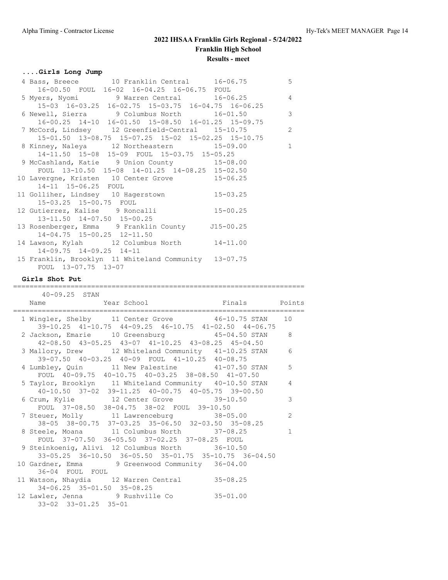## **....Girls Long Jump**

|                                  | 4 Bass, Breece 10 Franklin Central 16-06.75 5                                            |                |
|----------------------------------|------------------------------------------------------------------------------------------|----------------|
|                                  |                                                                                          |                |
|                                  | 16-00.50 FOUL 16-02 16-04.25 16-06.75 FOUL<br>5 Myers, Nyomi 9 Warren Central 16-06.25 4 |                |
|                                  | 15-03 16-03.25 16-02.75 15-03.75 16-04.75 16-06.25                                       |                |
|                                  | 6 Newell, Sierra 9 Columbus North 16-01.50 3                                             |                |
|                                  | 16-00.25 14-10 16-01.50 15-08.50 16-01.25 15-09.75                                       |                |
|                                  | 7 McCord, Lindsey 12 Greenfield-Central 15-10.75                                         | $\overline{c}$ |
|                                  | 15-01.50 13-08.75 15-07.25 15-02 15-02.25 15-10.75                                       |                |
|                                  | 8 Kinney, Naleya 12 Northeastern 15-09.00                                                | $\mathbf{1}$   |
|                                  | 14-11.50 15-08 15-09 FOUL 15-03.75 15-05.25                                              |                |
|                                  | 9 McCashland, Katie 9 Union County 15-08.00                                              |                |
|                                  | FOUL 13-10.50 15-08 14-01.25 14-08.25 15-02.50                                           |                |
|                                  | 10 Lavergne, Kristen 10 Center Grove 15-06.25                                            |                |
| 14-11 15-06.25 FOUL              |                                                                                          |                |
|                                  | 11 Golliher, Lindsey 10 Hagerstown 15-03.25                                              |                |
| 15-03.25 15-00.75 FOUL           |                                                                                          |                |
|                                  | 15-03.25 15-00.75 FOUL<br>12 Gutierrez, Kalise 9 Roncalli 15-00.25                       |                |
| 13-11.50 14-07.50 15-00.25       |                                                                                          |                |
|                                  | 13 Rosenberger, Emma 9 Franklin County J15-00.25                                         |                |
| $14-04.75$ $15-00.25$ $12-11.50$ |                                                                                          |                |
|                                  | 14 Lawson, Kylah 12 Columbus North 14-11.00                                              |                |
| $14-09.75$ $14-09.25$ $14-11$    |                                                                                          |                |
|                                  | 15 Franklin, Brooklyn 11 Whiteland Community 13-07.75                                    |                |
| FOUL 13-07.75 13-07              |                                                                                          |                |

#### **Girls Shot Put**

#### =======================================================================

| 40-09.25 STAN              |                                                                                                             |              |
|----------------------------|-------------------------------------------------------------------------------------------------------------|--------------|
|                            |                                                                                                             |              |
|                            |                                                                                                             |              |
|                            | 1 Wingler, Shelby 11 Center Grove 46-10.75 STAN 10<br>39-10.25 41-10.75 44-09.25 46-10.75 41-02.50 44-06.75 |              |
|                            | 2 Jackson, Emarie 10 Greensburg 15-04.50 STAN 8                                                             |              |
|                            | 42-08.50 43-05.25 43-07 41-10.25 43-08.25 45-04.50                                                          |              |
|                            | 3 Mallory, Drew 12 Whiteland Community 41-10.25 STAN                                                        | 6            |
|                            | 39-07.50 40-03.25 40-09 FOUL 41-10.25 40-08.75                                                              |              |
|                            | 4 Lumbley, Quin 11 New Palestine 41-07.50 STAN                                                              | 5            |
|                            | FOUL 40-09.75 40-10.75 40-03.25 38-08.50 41-07.50                                                           |              |
|                            | 5 Taylor, Brooklyn 11 Whiteland Community 40-10.50 STAN                                                     | 4            |
|                            | 40-10.50 37-02 39-11.25 40-00.75 40-05.75 39-00.50                                                          |              |
|                            |                                                                                                             | 3            |
|                            | FOUL 37-08.50 38-04.75 38-02 FOUL 39-10.50                                                                  |              |
|                            | 7 Steuer, Molly 11 Lawrenceburg 38-05.00                                                                    | 2            |
|                            | 38-05 38-00.75 37-03.25 35-06.50 32-03.50 35-08.25<br>8 Steele, Moana 11 Columbus North 37-08.25            | $\mathbf{1}$ |
|                            | FOUL 37-07.50 36-05.50 37-02.25 37-08.25 FOUL                                                               |              |
|                            | 9 Steinkoenig, Alivi 12 Columbus North 36-10.50                                                             |              |
|                            | 33-05.25 36-10.50 36-05.50 35-01.75 35-10.75 36-04.50                                                       |              |
|                            | 10 Gardner, Emma 9 Greenwood Community 36-04.00                                                             |              |
| 36-04 FOUL FOUL            |                                                                                                             |              |
|                            | 11 Watson, Nhaydia 12 Warren Central 35-08.25                                                               |              |
| 34-06.25 35-01.50 35-08.25 |                                                                                                             |              |
|                            | 12 Lawler, Jenna 9 Rushville Co 35-01.00                                                                    |              |
| 33-02 33-01.25 35-01       |                                                                                                             |              |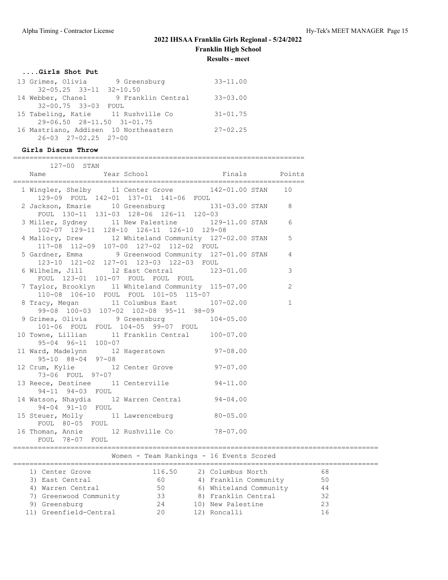#### **....Girls Shot Put**

| 13 Grimes, Olivia                     | 9 Greensburg       | $33 - 11.00$ |
|---------------------------------------|--------------------|--------------|
| $32 - 05.25$ $33 - 11$ $32 - 10.50$   |                    |              |
| 14 Webber, Chanel                     | 9 Franklin Central | $33 - 03.00$ |
| 32-00.75 33-03 FOUL                   |                    |              |
| 15 Tabeling, Katie 11 Rushville Co    |                    | $31 - 01.75$ |
| 29-06.50 28-11.50 31-01.75            |                    |              |
| 16 Mastriano, Addisen 10 Northeastern |                    | $27 - 02.25$ |
| $26 - 03$ $27 - 02.25$ $27 - 00$      |                    |              |

#### **Girls Discus Throw**

| 127-00 STAN                                                                                        |  |          |  |
|----------------------------------------------------------------------------------------------------|--|----------|--|
| Name Year School Finals Points                                                                     |  |          |  |
| 1 Wingler, Shelby 11 Center Grove 142-01.00 STAN 10<br>129-09 FOUL 142-01 137-01 141-06 FOUL       |  |          |  |
| 2 Jackson, Emarie 10 Greensburg 131-03.00 STAN 8<br>FOUL 130-11 131-03 128-06 126-11 120-03        |  |          |  |
| 3 Miller, Sydney 11 New Palestine 129-11.00 STAN 6<br>102-07 129-11 128-10 126-11 126-10 129-08    |  |          |  |
| 4 Mallory, Drew 12 Whiteland Community 127-02.00 STAN 5<br>117-08 112-09 107-00 127-02 112-02 FOUL |  |          |  |
| 5 Gardner, Emma 9 Greenwood Community 127-01.00 STAN 4<br>123-10 121-02 127-01 123-03 122-03 FOUL  |  |          |  |
| 6 Wilhelm, Jill 12 East Central 123-01.00 3<br>FOUL 123-01 101-07 FOUL FOUL FOUL                   |  |          |  |
| 7 Taylor, Brooklyn 11 Whiteland Community 115-07.00 2<br>110-08 106-10 FOUL FOUL 101-05 115-07     |  |          |  |
| 8 Tracy, Megan 11 Columbus East 107-02.00<br>99-08 100-03 107-02 102-08 95-11 98-09                |  | $\sim$ 1 |  |
| 9 Grimes, Olivia 9 Greensburg 104-05.00<br>101-06 FOUL FOUL 104-05 99-07 FOUL                      |  |          |  |
| 10 Towne, Lillian 11 Franklin Central 100-07.00<br>95-04 96-11 100-07                              |  |          |  |
| 11 Ward, Madelynn 12 Hagerstown 97-08.00<br>$95 - 10$ $88 - 04$ $97 - 08$                          |  |          |  |
| 12 Crum, Kylie 12 Center Grove 97-07.00<br>73-06 FOUL 97-07                                        |  |          |  |
| 13 Reece, Destinee 11 Centerville 94-11.00<br>94-11 94-03 FOUL                                     |  |          |  |
| 14 Watson, Nhaydia 12 Warren Central 94-04.00<br>94-04 91-10 FOUL                                  |  |          |  |
| 15 Steuer, Molly 11 Lawrenceburg 80-05.00<br>FOUL 80-05 FOUL                                       |  |          |  |
| 16 Thoman, Annie 12 Rushville Co 78-07.00<br>FOUL 78-07 FOUL                                       |  |          |  |

# Women - Team Rankings - 16 Events Scored

| 11 JULIO 11            |        | TO THE TRANSPORTED TO THE SECTION AND TO THE TRANSPORTED TO THE TRANSPORTED THE TRANSPORTED THE TRANSPORTED TH |    |  |
|------------------------|--------|----------------------------------------------------------------------------------------------------------------|----|--|
| 1) Center Grove        | 116.50 | 2) Columbus North                                                                                              | 68 |  |
| 3) East Central        | 60     | 4) Franklin Community                                                                                          | 50 |  |
| 4) Warren Central      | 50     | 6) Whiteland Community                                                                                         | 44 |  |
| 7) Greenwood Community | 33     | 8) Franklin Central                                                                                            | 32 |  |
| 9) Greensburg          | 24     | 10) New Palestine                                                                                              | 23 |  |
| 11) Greenfield-Central | 20     | 12) Roncalli                                                                                                   |    |  |